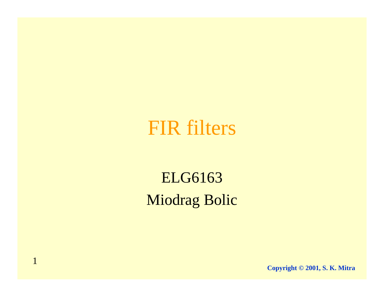#### FIR filters

ELG6163 Miodrag Bolic

1

**Copyright © 2001, S. K. Mitra**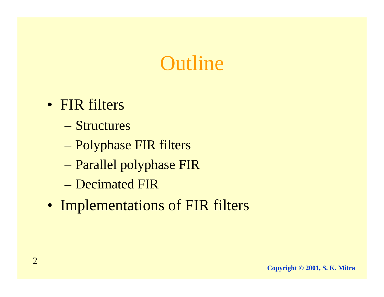#### **Outline**

- FIR filters
	- Structures
	- Polyphase FIR filters
	- –Parallel polyphase FIR
	- Decimated FIR
- Implementations of FIR filters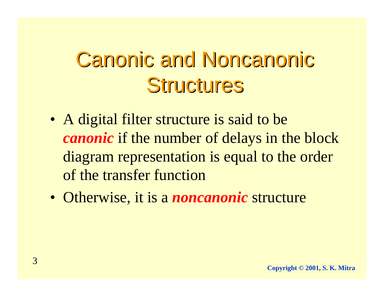### **Canonic and Noncanonic** Structures

- A digital filter structure is said to be *canonic* if the number of delays in the block diagram representation is equal to the order of the transfer function
- Otherwise, it is a *noncanonic* structure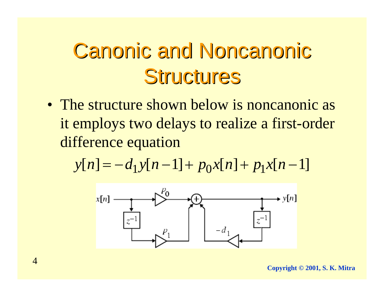### **Canonic and Noncanonic** Structures

• The structure shown below is noncanonic as it employs two delays to realize a first-order difference equation

$$
y[n] = -d_1y[n-1] + p_0x[n] + p_1x[n-1]
$$

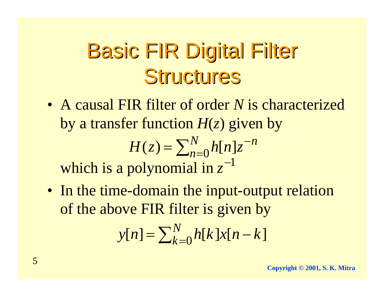### **Basic FIR Digital Filter** Structures

• A causal FIR filter of order *N* is characterized by a transfer function  $H(z)$  given by

$$
H(z) = \sum_{n=0}^{N} h[n]z^{-n}
$$
  
which is a polynomial in  $z^{-1}$ 

• In the time-domain the input-output relation of the above FIR filter is given by

$$
y[n] = \sum_{k=0}^{N} h[k]x[n-k]
$$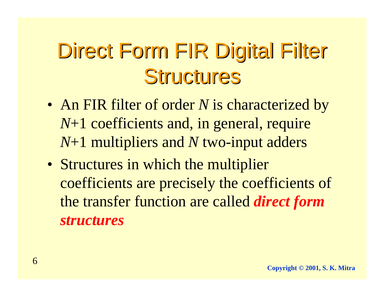# Direct Form FIR Digital Filter Structures

- An FIR filter of order *N* is characterized by *N*+1 coefficients and, in general, require *N*+1 multipliers and *N* two-input adders
- Structures in which the multiplier coefficients are precisely the coefficients of the transfer function are called *direct form structures*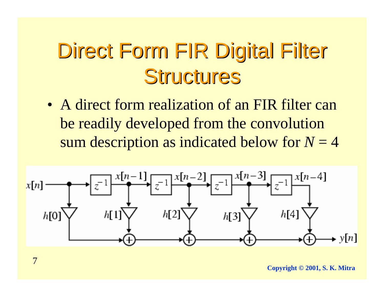### Direct Form FIR Digital Filter Structures

• A direct form realization of an FIR filter can be readily developed from the convolution sum description as indicated below for  $N = 4$ 



**Copyright © 2001, S. K. Mitra**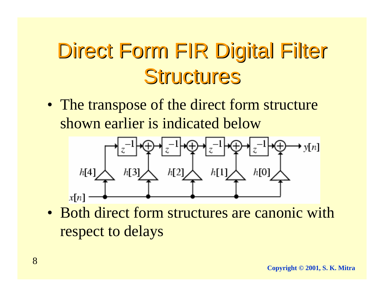# Direct Form FIR Digital Filter Structures

• The transpose of the direct form structure shown earlier is indicated below



• Both direct form structures are canonic with respect to delays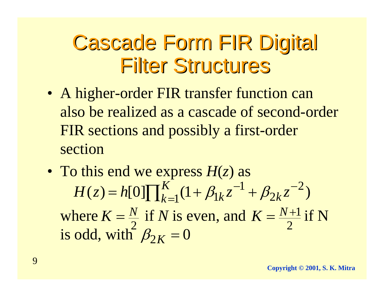#### **Cascade Form FIR Digital Filter Structures**

- A higher-order FIR transfer function can also be realized as a cascade of second-order FIR sections and possibly a first-order section
- To this end we express *H*(*z*) as where  $K = \frac{N}{2}$  if *N* is even, and  $K = \frac{N+1}{2}$  if N is odd, with  $\beta_{2K} = 0$  $H(z) = h[0] \prod_{k=1}^{K} (1 + \beta_{1k} z^{-1} + \beta_{2k} z^{-2})$ 2 $K=\frac{N}{\epsilon}$ 2 $K = \frac{N+1}{2}$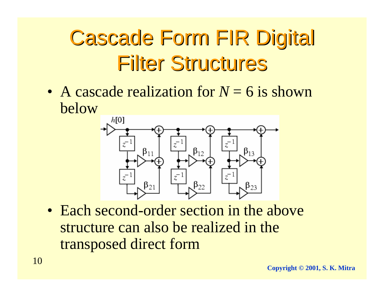# **Cascade Form FIR Digital Filter Structures**

• A cascade realization for *N* = 6 is shown below



• Each second-order section in the above structure can also be realized in the transposed direct form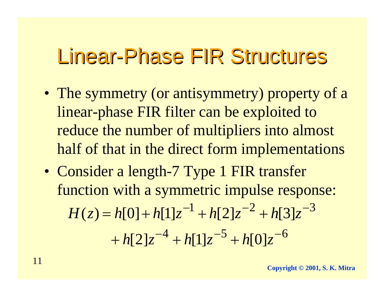- The symmetry (or antisymmetry) property of a linear-phase FIR filter can be exploited to reduce the number of multipliers into almost half of that in the direct form implementations
- Consider a length-7 Type 1 FIR transfer function with a symmetric impulse response:  $H(z) = h[0] + h[1]z^{-1} + h[2]z^{-2} + h[3]z^{-3}$  $+ h[2]z^{-4} + h[1]z^{-5} + h[0]z^{-6}$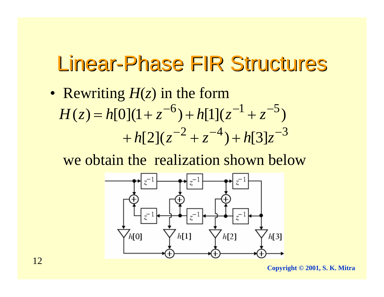• Rewriting *H*(*z*) in the form  $H(z) = h[0](1 + z^{-6}) + h[1](z^{-1} + z^{-5})$  $+ h[2] (z^{-2} + z^{-4}) + h[3]z^{-3}$ 

we obtain the realization shown below



**Copyright © 2001, S. K. Mitra**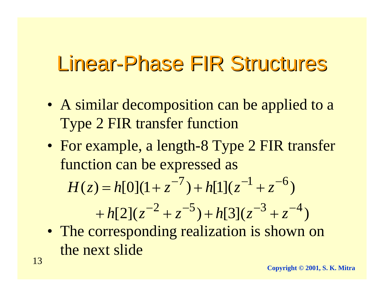- A similar decomposition can be applied to a Type 2 FIR transfer function
- For example, a length-8 Type 2 FIR transfer function can be expressed as

$$
H(z) = h[0](1 + z^{-7}) + h[1](z^{-1} + z^{-6})
$$

$$
+ h[2](z^{-2} + z^{-5}) + h[3](z^{-3} + z^{-4})
$$

• The corresponding realization is shown on the next slide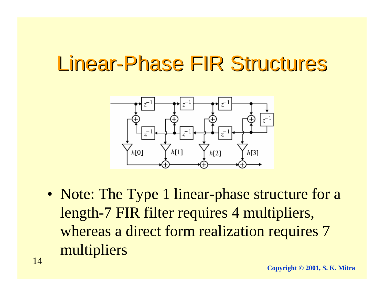

• Note: The Type 1 linear-phase structure for a length-7 FIR filter requires 4 multipliers, whereas a direct form realization requires 7 multipliers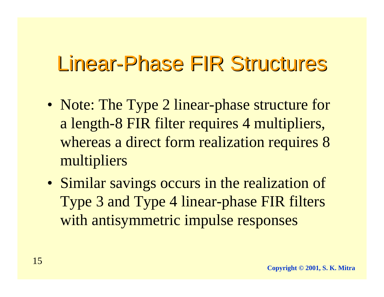- Note: The Type 2 linear-phase structure for a length-8 FIR filter requires 4 multipliers, whereas a direct form realization requires 8 multipliers
- Similar savings occurs in the realization of Type 3 and Type 4 linear-phase FIR filters with antisymmetric impulse responses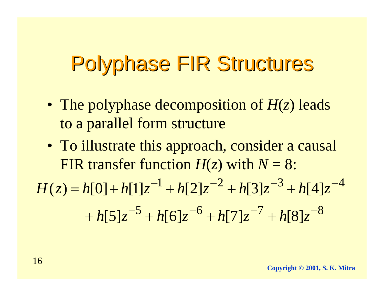- The polyphase decomposition of *H*(*z*) leads to a parallel form structure
- To illustrate this approach, consider a causal FIR transfer function  $H(z)$  with  $N = 8$ :

$$
H(z) = h[0] + h[1]z^{-1} + h[2]z^{-2} + h[3]z^{-3} + h[4]z^{-4}
$$

$$
+ h[5]z^{-5} + h[6]z^{-6} + h[7]z^{-7} + h[8]z^{-8}
$$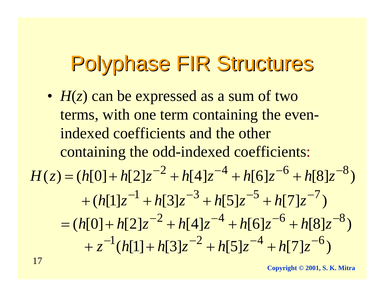• *H*(*z*) can be expressed as a sum of two terms, with one term containing the evenindexed coefficients and the other containing the odd-indexed coefficients:  $H(z) = (h[0] + h[2]z^{-2} + h[4]z^{-4} + h[6]z^{-6} + h[8]z^{-8})$  $+(h[1]z^{-1}+h[3]z^{-3}+h[5]z^{-5}+h[7]z^{-7})$  $=$   $(h[0]+h[2]z^{-2} +h[4]z^{-4} +h[6]z^{-6} +h[8]z^{-8})$  $+ z^{-1}(h[1] + h[3]z^{-2} + h[5]z^{-4} + h[7]z^{-6})$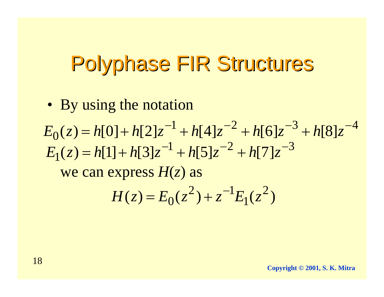• By using the notation

we can express *H*(*z*) as  $1 \cdot 155 - 2 \cdot 157 - 3$  $E_1(z) = h[1] + h[3]z^{-1} + h[5]z^{-2} + h[7]z^{-1}$  $1 \cdot 114 - 2 \cdot 151 - 3$  $E_0(z) = h[0] + h[2]z^{-1} + h[4]z^{-2} + h[6]z^{-3} + h[8]z^{-4}$ 

$$
H(z) = E_0(z^2) + z^{-1} E_1(z^2)
$$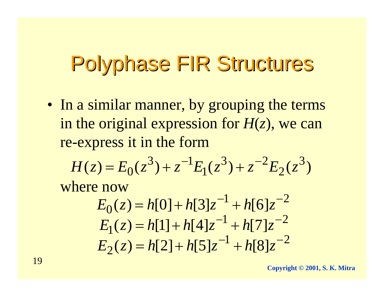• In a similar manner, by grouping the terms in the original expression for  $H(z)$ , we can re-express it in the form

$$
H(z) = E_0(z^3) + z^{-1}E_1(z^3) + z^{-2}E_2(z^3)
$$

where now

$$
E_0(z) = h[0] + h[3]z^{-1} + h[6]z^{-2}
$$
  
\n
$$
E_1(z) = h[1] + h[4]z^{-1} + h[7]z^{-2}
$$
  
\n
$$
E_2(z) = h[2] + h[5]z^{-1} + h[8]z^{-2}
$$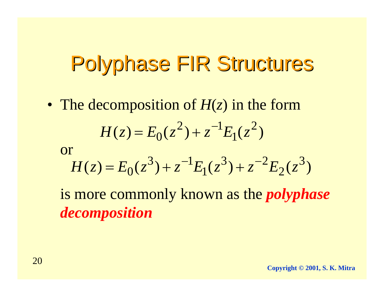• The decomposition of *H*(*z*) in the form  $H(z) = E_0(z^2) + z^{-1}E_1(z^2)$ 

or

$$
H(z) = E_0(z^3) + z^{-1}E_1(z^3) + z^{-2}E_2(z^3)
$$

is more commonly known as the *polyphase decomposition*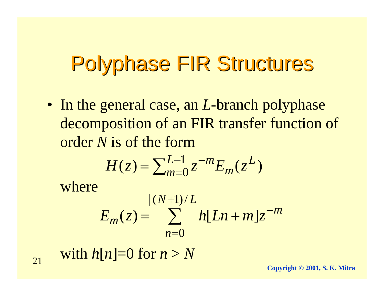• In the general case, an *L*-branch polyphase decomposition of an FIR transfer function of order *N* is of the form

$$
H(z) = \sum_{m=0}^{L-1} z^{-m} E_m(z^L)
$$

where

$$
E_m(z) = \sum_{n=0}^{\lfloor (N+1)/L \rfloor} h[Ln+m]z^{-m}
$$

with  $h[n]=0$  for  $n>N$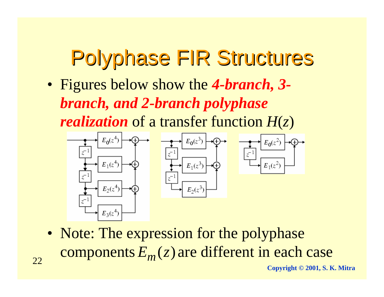• Figures below show the *4-branch, 3 branch, and 2-branch polyphase*

*realization* of a transfer function *H*(*z*)



• Note: The expression for the polyphase  $\mathop{\mathrm{components}}{E_{m}(z)}$  are different in each case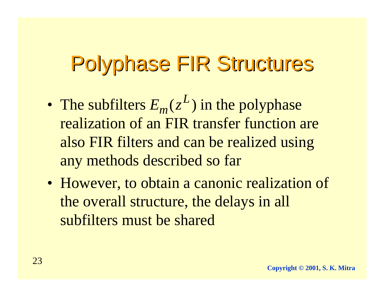- The subfilters  $E_m(z^L)$  in the polyphase realization of an FIR transfer function are also FIR filters and can be realized using any methods described so far
- However, to obtain a canonic realization of the overall structure, the delays in all subfilters must be shared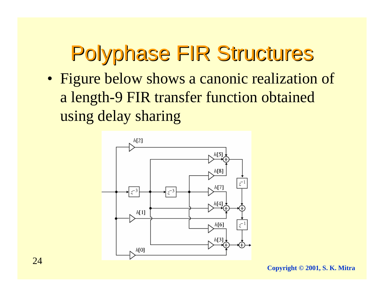• Figure below shows a canonic realization of a length-9 FIR transfer function obtained using delay sharing

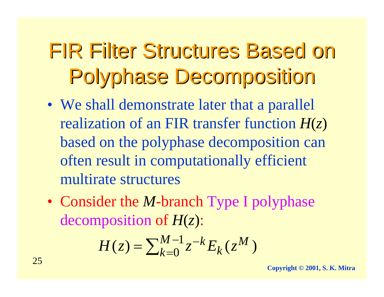# FIR Filter Structures Based on FIR Filter Structures Based on **Polyphase Decomposition**

- We shall demonstrate later that a parallel realization of an FIR transfer function *H*(*z*) based on the polyphase decomposition can often result in computationally efficient multirate structures
- Consider the *M*-branch Type I polyphase decomposition of *H*(*z*):

$$
H(z) = \sum_{k=0}^{M-1} z^{-k} E_k(z^M)
$$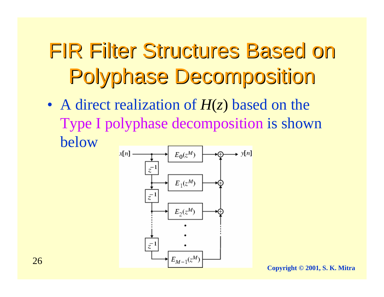# FIR Filter Structures Based on FIR Filter Structures Based on **Polyphase Decomposition**

• A direct realization of *H*(*z*) based on the Type I polyphase decomposition is shown below



**Copyright © 2001, S. K. Mitra**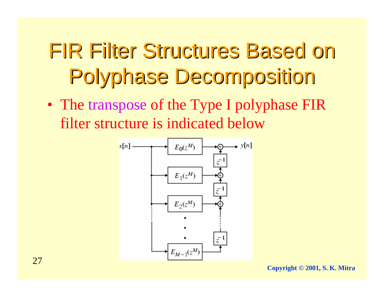# FIR Filter Structures Based on FIR Filter Structures Based on **Polyphase Decomposition**

• The transpose of the Type I polyphase FIR filter structure is indicated below

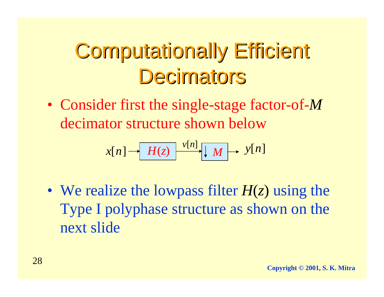• Consider first the single-stage factor-of-*M* decimator structure shown below

$$
x[n] \rightarrow H(z) \xrightarrow{v[n]} [M \rightarrow v[n]
$$

• We realize the lowpass filter *H*(*z*) using the Type I polyphase structure as shown on the next slide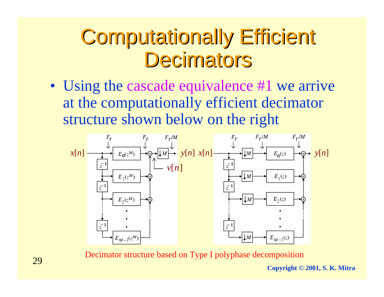• Using the cascade equivalence #1 we arrive at the computationally efficient decimator structure shown below on the right



Decimator structure based on Type I polyphase decomposition

**Copyright © 2001, S. K. Mitra**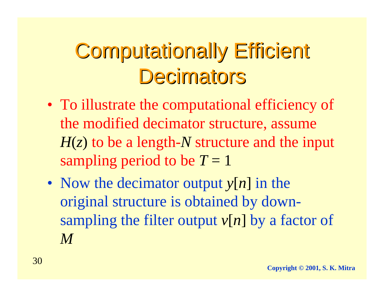- To illustrate the computational efficiency of the modified decimator structure, assume *H*(*z*) to be a length-*N* structure and the input sampling period to be  $T = 1$
- Now the decimator output  $y[n]$  in the original structure is obtained by downsampling the filter output  $v[n]$  by a factor of *M*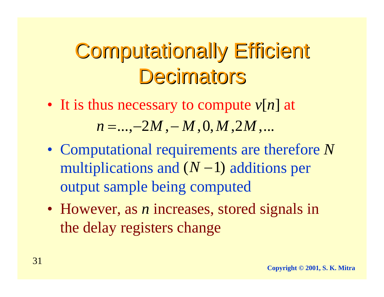- It is thus necessary to compute *<sup>v</sup>*[*n*] at *n* =…,−2*M* ,− *M* ,0,*M* ,2*M* ,...
- Computational requirements are therefore *N* multiplications and  $(N-1)$  additions per output sample being computed
- However, as *<sup>n</sup>* increases, stored signals in the delay registers change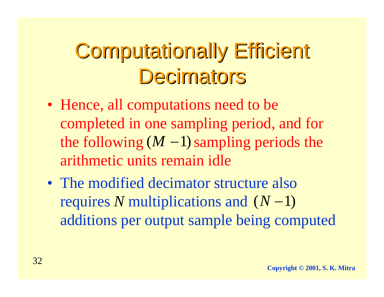- Hence, all computations need to be completed in one sampling period, and for the following  $(M - 1)$  sampling periods the arithmetic units remain idle
- The modified decimator structure also *r*equires *N* multiplications and (*N*−1) additions per output sample being computed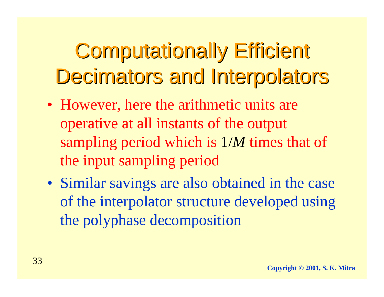- However, here the arithmetic units are operative at all instants of the output sampling period which is 1/*M* times that of the input sampling period
- Similar savings are also obtained in the case of the interpolator structure developed using the polyphase decomposition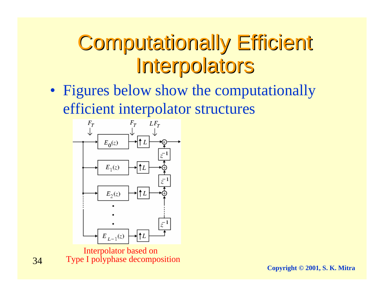#### **Computationally Efficient Interpolators**

• Figures below show the computationally efficient interpolator structures



Interpolator based on Type I polyphase decomposition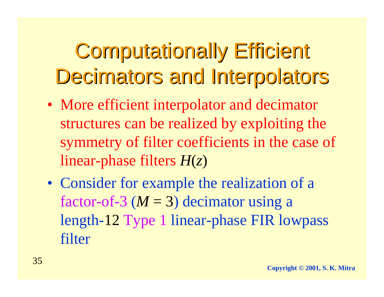- More efficient interpolator and decimator structures can be realized by exploiting the symmetry of filter coefficients in the case of linear-phase filters *H*(*z*)
- Consider for example the realization of a factor-of-3 (*M* = 3) decimator using a length-12 Type 1 linear-phase FIR lowpass filter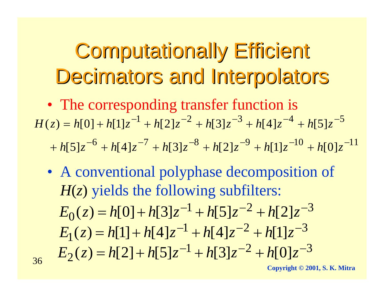- The corresponding transfer function is  $H(z) = h[0] + h[1]z^{-1} + h[2]z^{-2} + h[3]z^{-3} + h[4]z^{-4} + h[5]z^{-5}$  $h[6]z^{-6} + h[4]z^{-7} + h[3]z^{-8} + h[2]z^{-9} + h[1]z^{-10} + h[0]z^{-11}$ 
	- A conventional polyphase decomposition of *H*(*z*) yields the following subfilters:  $1 + 1551 - 2 + 1521 - 3$  $E_0(z) = h[0] + h[3]z^{-1} + h[5]z^{-2} + h[2]z^{-1}$  $1 + k[A]_7 - 2 + k[1]_7 - 3$  $E_1(z) = h[1] + h[4]z^{-1} + h[4]z^{-2} + h[1]z^{-2}$  $1 \cdot k\Omega = -2 \cdot k\Omega = -3$  $E_2(z) = h[2] + h[5]z^{-1} + h[3]z^{-2} + h[0]z^{-2}$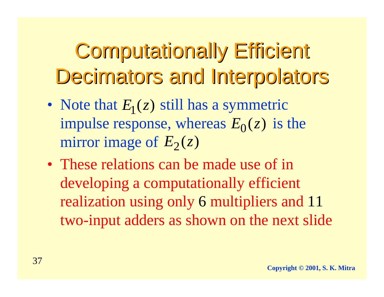- Note that  $E_1(z)$  still has a symmetric impulse response, whereas  $E_0(z)$  is the mirror image of  $E_2(z)$
- These relations can be made use of in developing a computationally efficient realization using only 6 multipliers and 11 two-input adders as shown on the next slide